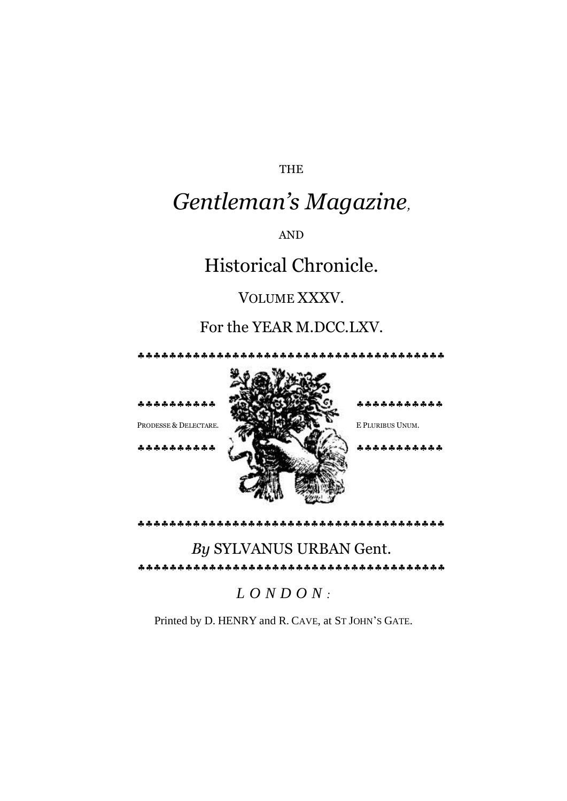THE

# *Gentleman's Magazine,*

AND

## Historical Chronicle.

### VOLUME XXXV.

### For the YEAR M.DCC.LXV.



\*\*\*\*\*\*\*\*\*\*

#### 

### *By* SYLVANUS URBAN Gent.

### *L O N D O N :*

Printed by D. HENRY and R. CAVE, at ST JOHN'S GATE.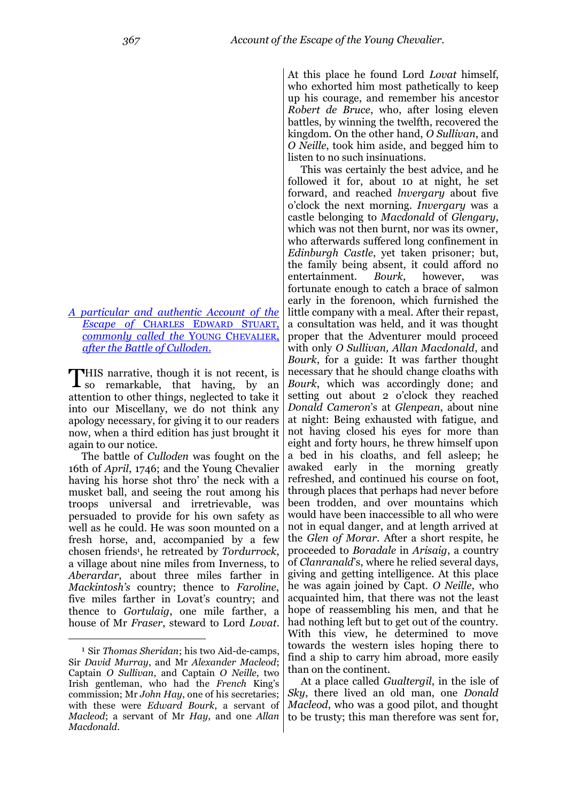*[A particular and authentic Account of the](http://books.google.com/books?id=-nLPAAAAMAAJ&lpg=PA369&ots=howJ2wQtRe&dq=The%20Wanderer%20or%20Surprizing%20Escape&pg=PA367#v=onepage&q&f=false)  [Escape of](http://books.google.com/books?id=-nLPAAAAMAAJ&lpg=PA369&ots=howJ2wQtRe&dq=The%20Wanderer%20or%20Surprizing%20Escape&pg=PA367#v=onepage&q&f=false)* CHARLES EDWARD STUART, *[commonly called the](http://books.google.com/books?id=-nLPAAAAMAAJ&lpg=PA369&ots=howJ2wQtRe&dq=The%20Wanderer%20or%20Surprizing%20Escape&pg=PA367#v=onepage&q&f=false)* YOUNG CHEVALIER, *[after the Battle of Culloden](http://books.google.com/books?id=-nLPAAAAMAAJ&lpg=PA369&ots=howJ2wQtRe&dq=The%20Wanderer%20or%20Surprizing%20Escape&pg=PA367#v=onepage&q&f=false)*.

HIS narrative, though it is not recent, is THIS narrative, though it is not recent, is<br>so remarkable, that having, by an attention to other things, neglected to take it into our Miscellany, we do not think any apology necessary, for giving it to our readers now, when a third edition has just brought it again to our notice.

The battle of *Culloden* was fought on the 16th of *April*, 1746; and the Young Chevalier having his horse shot thro' the neck with a musket ball, and seeing the rout among his troops universal and irretrievable, was persuaded to provide for his own safety as well as he could. He was soon mounted on a fresh horse, and, accompanied by a few chosen friends<sup>1</sup> , he retreated by *Tordurrock*, a village about nine miles from Inverness, to *Aberardar*, about three miles farther in *Mackintosh's* country; thence to *Faroline*, five miles farther in Lovat's country; and thence to *Gortulaig*, one mile farther, a house of Mr *Fraser*, steward to Lord *Lovat*.

.

At this place he found Lord *Lovat* himself, who exhorted him most pathetically to keep up his courage, and remember his ancestor *Robert de Bruce*, who, after losing eleven battles, by winning the twelfth, recovered the kingdom. On the other hand, *O Sullivan*, and *O Neille*, took him aside, and begged him to listen to no such insinuations.

This was certainly the best advice, and he followed it for, about 10 at night, he set forward, and reached *lnvergary* about five o"clock the next morning. *Invergary* was a castle belonging to *Macdonald* of *Glengary*, which was not then burnt, nor was its owner, who afterwards suffered long confinement in *Edinburgh Castle*, yet taken prisoner; but, the family being absent, it could afford no entertainment. *Bourk*, however, was fortunate enough to catch a brace of salmon early in the forenoon, which furnished the little company with a meal. After their repast, a consultation was held, and it was thought proper that the Adventurer mould proceed with only *O Sullivan, Allan Macdonald*, and *Bourk*, for a guide: It was farther thought necessary that he should change cloaths with *Bourk*, which was accordingly done; and setting out about 2 o'clock they reached *Donald Cameron*"s at *Glenpean*, about nine at night: Being exhausted with fatigue, and not having closed his eyes for more than eight and forty hours, he threw himself upon a bed in his cloaths, and fell asleep; he awaked early in the morning greatly refreshed, and continued his course on foot, through places that perhaps had never before been trodden, and over mountains which would have been inaccessible to all who were not in equal danger, and at length arrived at the *Glen of Morar*. After a short respite, he proceeded to *Boradale* in *Arisaig*, a country of *Clanranald*"s, where he relied several days, giving and getting intelligence. At this place he was again joined by Capt. *O Neille*, who acquainted him, that there was not the least hope of reassembling his men, and that he had nothing left but to get out of the country. With this view, he determined to move towards the western isles hoping there to find a ship to carry him abroad, more easily than on the continent.

At a place called *Gualtergil*, in the isle of *Sky*, there lived an old man, one *Donald Macleod*, who was a good pilot, and thought to be trusty; this man therefore was sent for,

<sup>1</sup> Sir *Thomas Sheridan*; his two Aid-de-camps, Sir *David Murray*, and Mr *Alexander Macleod*; Captain *O Sullivan*, and Captain *O Neille*, two Irish gentleman, who had the *French* King"s commission; Mr *John Hay*, one of his secretaries; with these were *Edward Bourk*, a servant of *Macleod*; a servant of Mr *Hay*, and one *Allan Macdonald*.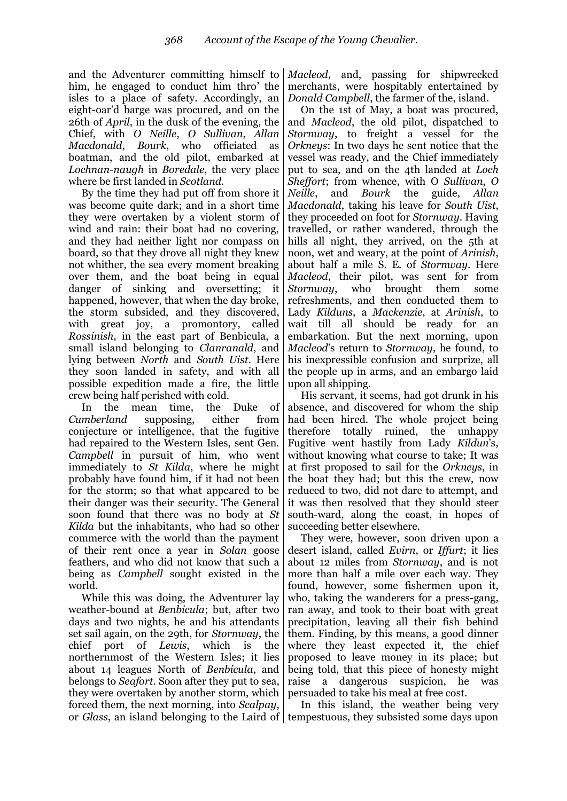and the Adventurer committing himself to him, he engaged to conduct him thro' the isles to a place of safety. Accordingly, an eight-oar"d barge was procured, and on the 26th of *April*, in the dusk of the evening, the Chief, with *O Neille*, *O Sullivan*, *Allan Macdonald*, *Bourk*, who officiated as boatman, and the old pilot, embarked at *Lochnan-naugh* in *Boredale*, the very place where be first landed in *Scotland*.

By the time they had put off from shore it was become quite dark; and in a short time they were overtaken by a violent storm of wind and rain: their boat had no covering, and they had neither light nor compass on board, so that they drove all night they knew not whither, the sea every moment breaking over them, and the boat being in equal danger of sinking and oversetting; it happened, however, that when the day broke, the storm subsided, and they discovered, with great joy, a promontory, called *Rossinish*, in the east part of Benbicula, a small island belonging to *Clanranald*, and lying between *North* and *South Uist*. Here they soon landed in safety, and with all possible expedition made a fire, the little crew being half perished with cold.

In the mean time, the Duke of *Cumberland* supposing, either from conjecture or intelligence, that the fugitive had repaired to the Western Isles, sent Gen. *Campbell* in pursuit of him, who went immediately to *St Kilda*, where he might probably have found him, if it had not been for the storm; so that what appeared to be their danger was their security. The General soon found that there was no body at *St Kilda* but the inhabitants, who had so other commerce with the world than the payment of their rent once a year in *Solan* goose feathers, and who did not know that such a being as *Campbell* sought existed in the world.

While this was doing, the Adventurer lay weather-bound at *Benbicula*; but, after two days and two nights, he and his attendants set sail again, on the 29th, for *Stornway*, the chief port of *Lewis*, which is the northernmost of the Western Isles; it lies about 14 leagues North of *Benbicula*, and belongs to *Seafort*. Soon after they put to sea, they were overtaken by another storm, which forced them, the next morning, into *Scalpay*,

*Macleod*, and, passing for shipwrecked merchants, were hospitably entertained by *Donald Campbell*, the farmer of the, island.

On the 1st of May, a boat was procured, and *Macleod*, the old pilot, dispatched to *Stornway*, to freight a vessel for the *Orkneys*: In two days he sent notice that the vessel was ready, and the Chief immediately put to sea, and on the 4th landed at *Loch Sheffort*; from whence, with O *Sullivan*, *O Neille*, and *Bourk* the guide, *Allan Macdonald*, taking his leave for *South Uist*, they proceeded on foot for *Stornway*. Having travelled, or rather wandered, through the hills all night, they arrived, on the 5<sup>th</sup> at noon, wet and weary, at the point of *Arinish*, about half a mile S. E. of *Stornway*. Here *Macleod*, their pilot, was sent for from *Stornway*, who brought them some refreshments, and then conducted them to Lady *Kilduns*, a *Mackenzie*, at *Arinish*, to wait till all should be ready for an embarkation. But the next morning, upon *Macleod*"s return to *Stornway*, he found, to his inexpressible confusion and surprize, all the people up in arms, and an embargo laid upon all shipping.

His servant, it seems, had got drunk in his absence, and discovered for whom the ship had been hired. The whole project being therefore totally ruined, the unhappy Fugitive went hastily from Lady *Kildun*"s, without knowing what course to take; It was at first proposed to sail for the *Orkneys*, in the boat they had; but this the crew, now reduced to two, did not dare to attempt, and it was then resolved that they should steer south-ward, along the coast, in hopes of succeeding better elsewhere.

They were, however, soon driven upon a desert island, called *Evirn*, or *Iffurt*; it lies about 12 miles from *Stornway*, and is not more than half a mile over each way. They found, however, some fishermen upon it, who, taking the wanderers for a press-gang, ran away, and took to their boat with great precipitation, leaving all their fish behind them. Finding, by this means, a good dinner where they least expected it, the chief proposed to leave money in its place; but being told, that this piece of honesty might raise a dangerous suspicion, he was persuaded to take his meal at free cost.

or *Glass*, an island belonging to the Laird of tempestuous, they subsisted some days upon In this island, the weather being very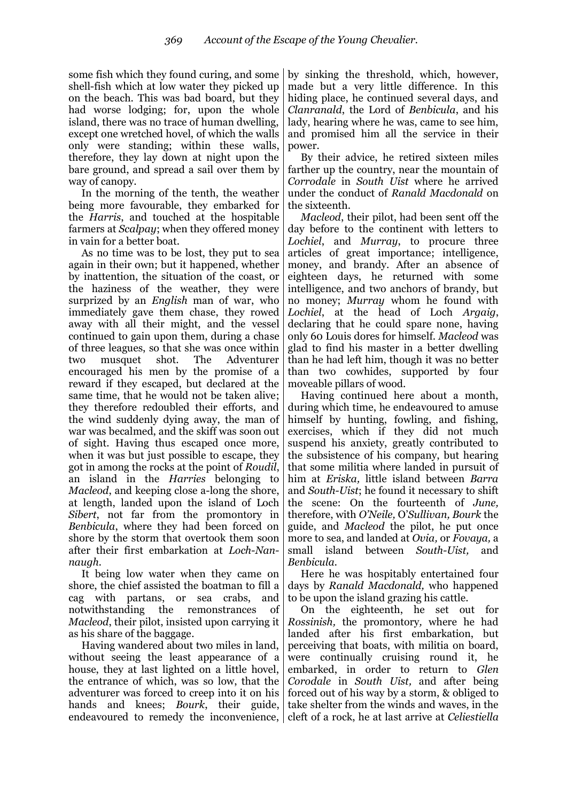some fish which they found curing, and some shell-fish which at low water they picked up on the beach. This was bad board, but they had worse lodging; for, upon the whole island, there was no trace of human dwelling, except one wretched hovel, of which the walls only were standing; within these walls, therefore, they lay down at night upon the bare ground, and spread a sail over them by way of canopy.

In the morning of the tenth, the weather being more favourable, they embarked for the *Harris*, and touched at the hospitable farmers at *Scalpay*; when they offered money in vain for a better boat.

As no time was to be lost, they put to sea again in their own; but it happened, whether by inattention, the situation of the coast, or the haziness of the weather, they were surprized by an *English* man of war, who immediately gave them chase, they rowed away with all their might, and the vessel continued to gain upon them, during a chase of three leagues, so that she was once within two musquet shot. The Adventurer encouraged his men by the promise of a reward if they escaped, but declared at the same time, that he would not be taken alive; they therefore redoubled their efforts, and the wind suddenly dying away, the man of war was becalmed, and the skiff was soon out of sight. Having thus escaped once more, when it was but just possible to escape, they got in among the rocks at the point of *Roudil*, an island in the *Harries* belonging to *Macleod*, and keeping close a-long the shore, at length, landed upon the island of Loch *Sibert*, not far from the promontory in *Benbicula*, where they had been forced on shore by the storm that overtook them soon after their first embarkation at *Loch-Nannaugh.*

It being low water when they came on shore, the chief assisted the boatman to fill a cag with partans, or sea crabs, and notwithstanding the remonstrances of *Macleod*, their pilot, insisted upon carrying it as his share of the baggage.

Having wandered about two miles in land, without seeing the least appearance of a house, they at last lighted on a little hovel, the entrance of which, was so low, that the adventurer was forced to creep into it on his hands and knees; *Bourk*, their guide,

by sinking the threshold, which, however, made but a very little difference. In this hiding place, he continued several days, and *Clanranald*, the Lord of *Benbicula*, and his lady, hearing where he was, came to see him, and promised him all the service in their power.

By their advice, he retired sixteen miles farther up the country, near the mountain of *Corrodale* in *South Uist* where he arrived under the conduct of *Ranald Macdonald* on the sixteenth.

*Macleod*, their pilot, had been sent off the day before to the continent with letters to *Lochiel*, and *Murray*, to procure three articles of great importance; intelligence, money, and brandy. After an absence of eighteen days, he returned with some intelligence, and two anchors of brandy, but no money; *Murray* whom he found with *Lochiel*, at the head of Loch *Argaig*, declaring that he could spare none, having only 60 Louis dores for himself. *Macleod* was glad to find his master in a better dwelling than he had left him, though it was no better than two cowhides, supported by four moveable pillars of wood.

Having continued here about a month, during which time, he endeavoured to amuse himself by hunting, fowling, and fishing, exercises, which if they did not much suspend his anxiety, greatly contributed to the subsistence of his company, but hearing that some militia where landed in pursuit of him at *Eriska,* little island between *Barra*  and *South-Uist*; he found it necessary to shift the scene: On the fourteenth of *June,*  therefore, with *O'Neile,* O"*Sullivan, Bourk* the guide, and *Macleod* the pilot, he put once more to sea, and landed at *Ovia,* or *Fovaya,* a small island between *South-Uist,* and *Benbicula.*

Here he was hospitably entertained four days by *Ranald Macdonald,* who happened to be upon the island grazing his cattle.

endeavoured to remedy the inconvenience, cleft of a rock, he at last arrive at *Celiestiella* On the eighteenth, he set out for *Rossinish,* the promontory*,* where he had landed after his first embarkation, but perceiving that boats, with militia on board, were continually cruising round it, he embarked, in order to return to *Glen Corodale* in *South Uist,* and after being forced out of his way by a storm, & obliged to take shelter from the winds and waves, in the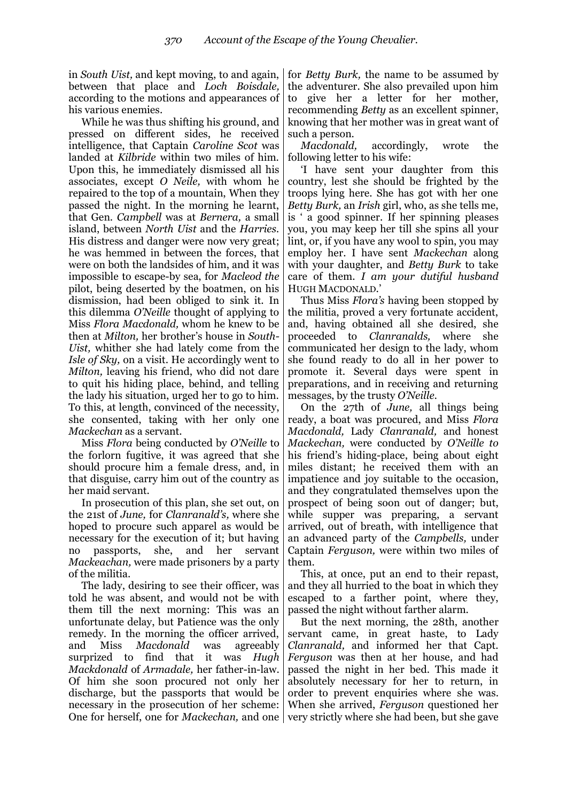in *South Uist,* and kept moving, to and again, between that place and *Loch Boisdale,*  according to the motions and appearances of his various enemies.

While he was thus shifting his ground, and pressed on different sides, he received intelligence, that Captain *Caroline Scot* was landed at *Kilbride* within two miles of him. Upon this, he immediately dismissed all his associates, except *O Neile,* with whom he repaired to the top of a mountain, When they passed the night. In the morning he learnt, that Gen. *Campbell* was at *Bernera,* a small island, between *North Uist* and the *Harries.*  His distress and danger were now very great; he was hemmed in between the forces, that were on both the landsides of him, and it was impossible to escape-by sea, for *Macleod the*  pilot, being deserted by the boatmen, on his dismission, had been obliged to sink it. In this dilemma *O'Neille* thought of applying to Miss *Flora Macdonald,* whom he knew to be then at *Milton,* her brother"s house in *South-Uist,* whither she had lately come from the *Isle of Sky,* on a visit. He accordingly went to *Milton,* leaving his friend, who did not dare to quit his hiding place, behind, and telling the lady his situation, urged her to go to him. To this, at length, convinced of the necessity, she consented, taking with her only one *Mackechan* as a servant.

Miss *Flora* being conducted by *O'Neille* to the forlorn fugitive, it was agreed that she should procure him a female dress, and, in that disguise, carry him out of the country as her maid servant.

In prosecution of this plan, she set out, on the 21st of *June,* for *Clanranald's,* where she hoped to procure such apparel as would be necessary for the execution of it; but having no passports, she, and her servant *Mackeachan,* were made prisoners by a party of the militia.

The lady, desiring to see their officer, was told he was absent, and would not be with them till the next morning: This was an unfortunate delay, but Patience was the only remedy. In the morning the officer arrived, and Miss *Macdonald* was agreeably surprized to find that it was *Hugh Mackdonald* of *Armadale,* her father-in-law. Of him she soon procured not only her discharge, but the passports that would be necessary in the prosecution of her scheme:

for *Betty Burk,* the name to be assumed by the adventurer. She also prevailed upon him to give her a letter for her mother, recommending *Betty* as an excellent spinner, knowing that her mother was in great want of such a person.

*Macdonald,* accordingly, wrote the following letter to his wife:

"I have sent your daughter from this country, lest she should be frighted by the troops lying here. She has got with her one *Betty Burk,* an *Irish* girl, who, as she tells me, is " a good spinner. If her spinning pleases you, you may keep her till she spins all your lint, or, if you have any wool to spin, you may employ her. I have sent *Mackechan* along with your daughter, and *Betty Burk* to take care of them. *I am your dutiful husband*  HUGH MACDONALD."

Thus Miss *Flora's* having been stopped by the militia, proved a very fortunate accident, and, having obtained all she desired, she proceeded to *Clanranalds,* where she communicated her design to the lady, whom she found ready to do all in her power to promote it. Several days were spent in preparations, and in receiving and returning messages, by the trusty *O'Neille.*

On the 27th of *June,* all things being ready, a boat was procured, and Miss *Flora Macdonald,* Lady *Clanranald,* and honest *Mackechan,* were conducted by *O'Neille to*  his friend"s hiding-place, being about eight miles distant; he received them with an impatience and joy suitable to the occasion, and they congratulated themselves upon the prospect of being soon out of danger; but, while supper was preparing, a servant arrived, out of breath, with intelligence that an advanced party of the *Campbells,* under Captain *Ferguson,* were within two miles of them.

This, at once, put an end to their repast, and they all hurried to the boat in which they escaped to a farther point, where they, passed the night without farther alarm.

One for herself, one for *Mackechan*, and one | very strictly where she had been, but she gave But the next morning, the 28th, another servant came, in great haste, to Lady *Clanranald,* and informed her that Capt. *Ferguson* was then at her house, and had passed the night in her bed. This made it absolutely necessary for her to return, in order to prevent enquiries where she was. When she arrived, *Ferguson* questioned her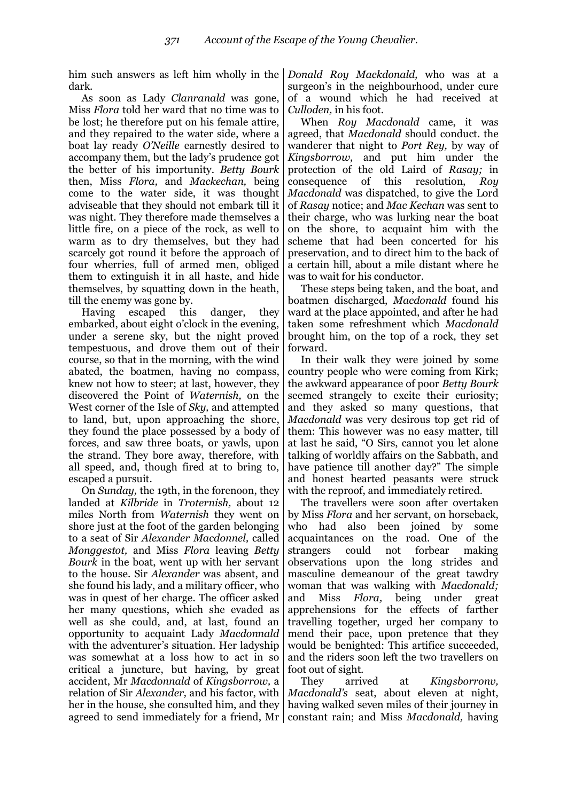him such answers as left him wholly in the dark.

As soon as Lady *Clanranald* was gone, Miss *Flora* told her ward that no time was to be lost; he therefore put on his female attire, and they repaired to the water side, where a boat lay ready *O'Neille* earnestly desired to accompany them, but the lady"s prudence got the better of his importunity. *Betty Bourk*  then, Miss *Flora,* and *Mackechan,* being come to the water side, it was thought adviseable that they should not embark till it was night. They therefore made themselves a little fire, on a piece of the rock, as well to warm as to dry themselves, but they had scarcely got round it before the approach of four wherries, full of armed men, obliged them to extinguish it in all haste, and hide themselves, by squatting down in the heath, till the enemy was gone by.

Having escaped this danger, they embarked, about eight o"clock in the evening, under a serene sky, but the night proved tempestuous, and drove them out of their course, so that in the morning, with the wind abated, the boatmen, having no compass, knew not how to steer; at last, however, they discovered the Point of *Waternish,* on the West corner of the Isle of *Sky,* and attempted to land, but, upon approaching the shore, they found the place possessed by a body of forces, and saw three boats, or yawls, upon the strand. They bore away, therefore, with all speed, and, though fired at to bring to, escaped a pursuit.

On *Sunday,* the 19th, in the forenoon, they landed at *Kilbride* in *Troternish,* about 12 miles North from *Waternish* they went on shore just at the foot of the garden belonging to a seat of Sir *Alexander Macdonnel,* called *Monggestot,* and Miss *Flora* leaving *Betty Bourk* in the boat, went up with her servant to the house. Sir *Alexander* was absent, and she found his lady, and a military officer, who was in quest of her charge. The officer asked her many questions, which she evaded as well as she could, and, at last, found an opportunity to acquaint Lady *Macdonnald*  with the adventurer's situation. Her ladyship was somewhat at a loss how to act in so critical a juncture, but having, by great accident, Mr *Macdonnald* of *Kingsborrow,* a relation of Sir *Alexander,* and his factor, with her in the house, she consulted him, and they

*Donald Roy Mackdonald,* who was at a surgeon's in the neighbourhood, under cure of a wound which he had received at *Culloden,* in his foot.

When *Roy Macdonald* came, it was agreed, that *Macdonald* should conduct. the wanderer that night to *Port Rey,* by way of *Kingsborrow,* and put him under the protection of the old Laird of *Rasay;* in consequence of this resolution, *Roy Macdonald* was dispatched, to give the Lord of *Rasay* notice; and *Mac Kechan* was sent to their charge, who was lurking near the boat on the shore, to acquaint him with the scheme that had been concerted for his preservation, and to direct him to the back of a certain hill, about a mile distant where he was to wait for his conductor.

These steps being taken, and the boat, and boatmen discharged, *Macdonald* found his ward at the place appointed, and after he had taken some refreshment which *Macdonald*  brought him, on the top of a rock, they set forward.

In their walk they were joined by some country people who were coming from Kirk; the awkward appearance of poor *Betty Bourk*  seemed strangely to excite their curiosity; and they asked so many questions, that *Macdonald* was very desirous top get rid of them: This however was no easy matter, till at last he said, "O Sirs, cannot you let alone talking of worldly affairs on the Sabbath, and have patience till another day?" The simple and honest hearted peasants were struck with the reproof, and immediately retired.

The travellers were soon after overtaken by Miss *Flora* and her servant, on horseback, who had also been joined by some acquaintances on the road. One of the strangers could not forbear making observations upon the long strides and masculine demeanour of the great tawdry woman that was walking with *Macdonald;* and Miss *Flora,* being under great apprehensions for the effects of farther travelling together, urged her company to mend their pace, upon pretence that they would be benighted: This artifice succeeded, and the riders soon left the two travellers on foot out of sight.

agreed to send immediately for a friend, Mr constant rain; and Miss *Macdonald,* having They arrived at *Kingsborronv, Macdonald's* seat, about eleven at night, having walked seven miles of their journey in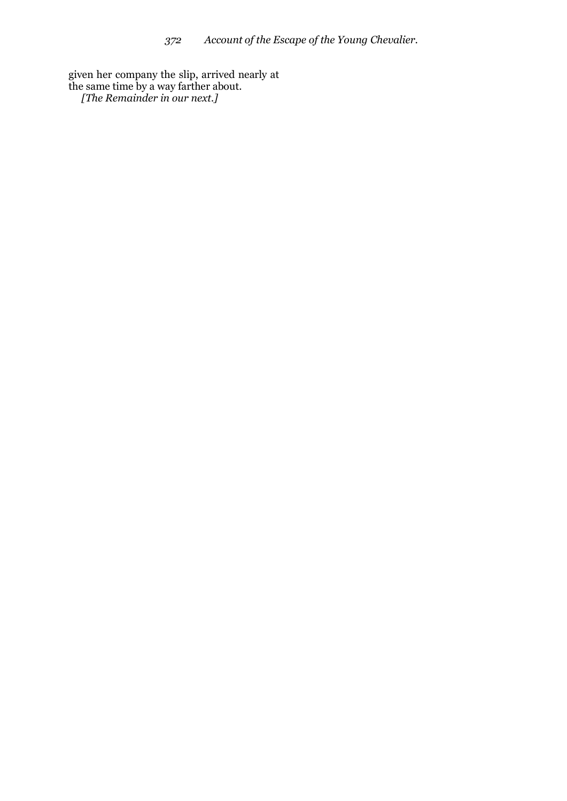given her company the slip, arrived nearly at the same time by a way farther about. *[The Remainder in our next.]*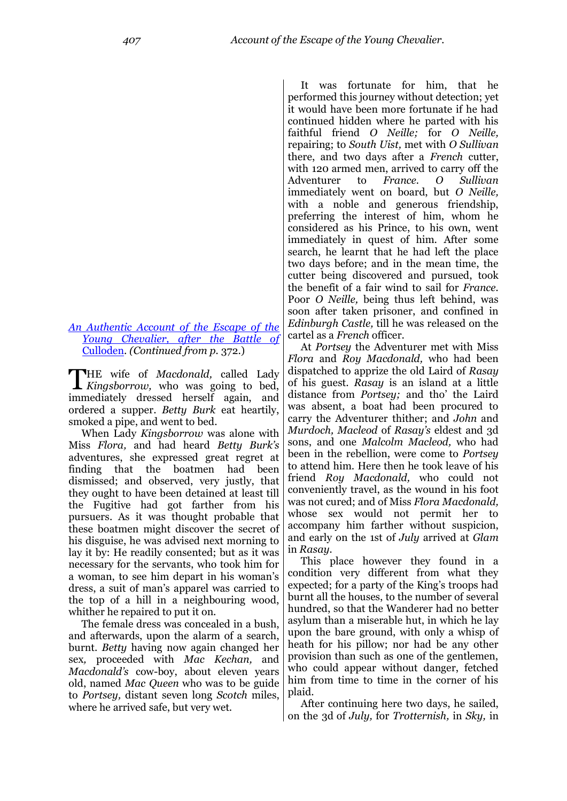#### *[An Authentic Account of the Escape of the](http://books.google.com/books?id=-nLPAAAAMAAJ&lpg=PA407&ots=howJ2wRoRe&dq=Account%20of%20the%20Escape%20of%20the%20Young%20Chevalier&pg=PA407#v=onepage&q=Account%20of%20the%20Escape%20of%20the%20Young%20Chevalier&f=false)  [Young Chevalier, after the Battle](http://books.google.com/books?id=-nLPAAAAMAAJ&lpg=PA407&ots=howJ2wRoRe&dq=Account%20of%20the%20Escape%20of%20the%20Young%20Chevalier&pg=PA407#v=onepage&q=Account%20of%20the%20Escape%20of%20the%20Young%20Chevalier&f=false) of*  [Culloden.](http://books.google.com/books?id=-nLPAAAAMAAJ&lpg=PA407&ots=howJ2wRoRe&dq=Account%20of%20the%20Escape%20of%20the%20Young%20Chevalier&pg=PA407#v=onepage&q=Account%20of%20the%20Escape%20of%20the%20Young%20Chevalier&f=false) *(Continued from p.* 372.)

HE wife of *Macdonald,* called Lady THE wife of *Macdonald*, called Lady *Kingsborrow*, who was going to bed, immediately dressed herself again, and ordered a supper. *Betty Burk* eat heartily, smoked a pipe, and went to bed.

When Lady *Kingsborrow* was alone with Miss *Flora,* and had heard *Betty Burk's* adventures, she expressed great regret at finding that the boatmen had been dismissed; and observed, very justly, that they ought to have been detained at least till the Fugitive had got farther from his pursuers. As it was thought probable that these boatmen might discover the secret of his disguise, he was advised next morning to lay it by: He readily consented; but as it was necessary for the servants, who took him for a woman, to see him depart in his woman"s dress, a suit of man"s apparel was carried to the top of a hill in a neighbouring wood, whither he repaired to put it on.

The female dress was concealed in a bush, and afterwards, upon the alarm of a search, burnt. *Betty* having now again changed her sex*,* proceeded with *Mac Kechan,* and *Macdonald's* cow-boy, about eleven years old, named *Mac Queen* who was to be guide to *Portsey,* distant seven long *Scotch* miles, where he arrived safe, but very wet.

It was fortunate for him, that he performed this journey without detection; yet it would have been more fortunate if he had continued hidden where he parted with his faithful friend *O Neille;* for *O Neille,*  repairing; to *South Uist,* met with *O Sullivan* there, and two days after a *French* cutter, with 120 armed men, arrived to carry off the Adventurer to *France. O Sullivan*  immediately went on board, but *O Neille,*  with a noble and generous friendship, preferring the interest of him, whom he considered as his Prince, to his own, went immediately in quest of him. After some search, he learnt that he had left the place two days before; and in the mean time, the cutter being discovered and pursued, took the benefit of a fair wind to sail for *France.*  Poor *O Neille,* being thus left behind, was soon after taken prisoner, and confined in *Edinburgh Castle,* till he was released on the cartel as a *French* officer.

At *Portsey* the Adventurer met with Miss *Flora* and *Roy Macdonald,* who had been dispatched to apprize the old Laird of *Rasay*  of his guest. *Rasay* is an island at a little distance from *Portsey;* and tho" the Laird was absent, a boat had been procured to carry the Adventurer thither; and *John* and *Murdoch, Macleod* of *Rasay's* eldest and 3d sons, and one *Malcolm Macleod,* who had been in the rebellion, were come to *Portsey*  to attend him. Here then he took leave of his friend *Roy Macdonald,* who could not conveniently travel, as the wound in his foot was not cured; and of Miss *Flora Macdonald,*  whose sex would not permit her to accompany him farther without suspicion, and early on the 1st of *July* arrived at *Glam*  in *Rasay.*

This place however they found in a condition very different from what they expected; for a party of the King's troops had burnt all the houses, to the number of several hundred, so that the Wanderer had no better asylum than a miserable hut, in which he lay upon the bare ground, with only a whisp of heath for his pillow; nor had be any other provision than such as one of the gentlemen, who could appear without danger, fetched him from time to time in the corner of his plaid.

After continuing here two days, he sailed, on the 3d of *July,* for *Trotternish,* in *Sky,* in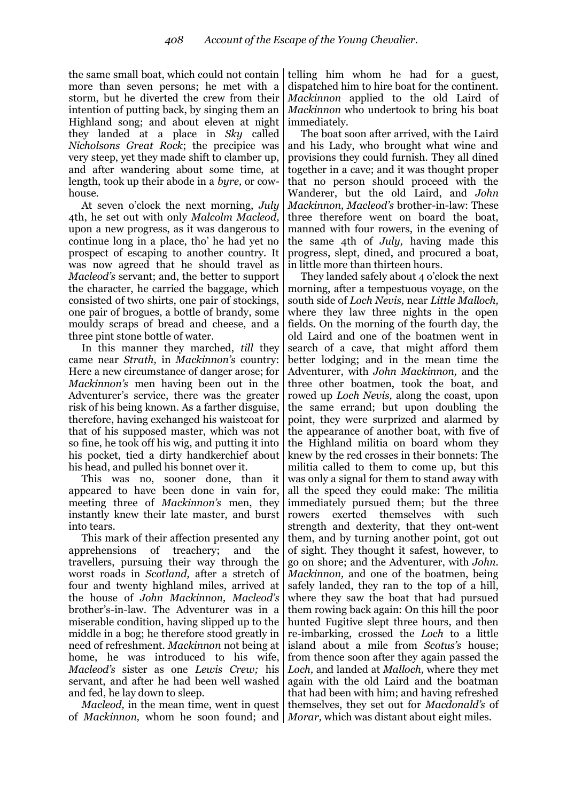the same small boat, which could not contain more than seven persons; he met with a storm, but he diverted the crew from their intention of putting back, by singing them an Highland song; and about eleven at night they landed at a place in *Sky* called *Nicholsons Great Rock*; the precipice was very steep, yet they made shift to clamber up, and after wandering about some time, at length, took up their abode in a *byre,* or cowhouse.

At seven o"clock the next morning, *July*  4th, he set out with only *Malcolm Macleod,*  upon a new progress, as it was dangerous to continue long in a place, tho" he had yet no prospect of escaping to another country. It was now agreed that he should travel as *Macleod's* servant; and, the better to support the character, he carried the baggage, which consisted of two shirts, one pair of stockings, one pair of brogues, a bottle of brandy, some mouldy scraps of bread and cheese, and a three pint stone bottle of water.

In this manner they marched, *till* they came near *Strath,* in *Mackinnon's* country: Here a new circumstance of danger arose; for *Mackinnon's* men having been out in the Adventurer's service, there was the greater risk of his being known. As a farther disguise, therefore, having exchanged his waistcoat for that of his supposed master, which was not so fine, he took off his wig, and putting it into his pocket, tied a dirty handkerchief about his head, and pulled his bonnet over it.

This was no, sooner done, than it appeared to have been done in vain for, meeting three of *Mackinnon's* men, they instantly knew their late master, and burst into tears.

This mark of their affection presented any apprehensions of treachery; and the travellers, pursuing their way through the worst roads in *Scotland,* after a stretch of four and twenty highland miles, arrived at the house of *John Mackinnon, Macleod's*  brother"s-in-law. The Adventurer was in a miserable condition, having slipped up to the middle in a bog; he therefore stood greatly in need of refreshment. *Mackinnon* not being at home, he was introduced to his wife, *Macleod's* sister as one *Lewis Crew;* his servant, and after he had been well washed and fed, he lay down to sleep.

*Macleod,* in the mean time, went in quest of *Mackinnon,* whom he soon found; and *Morar,* which was distant about eight miles.

telling him whom he had for a guest, dispatched him to hire boat for the continent. *Mackinnon* applied to the old Laird of *Mackinnon* who undertook to bring his boat immediately.

The boat soon after arrived, with the Laird and his Lady, who brought what wine and provisions they could furnish. They all dined together in a cave; and it was thought proper that no person should proceed with the Wanderer, but the old Laird, and *John Mackinnon, Macleod's* brother-in-law: These three therefore went on board the boat, manned with four rowers, in the evening of the same 4th of *July,* having made this progress, slept, dined, and procured a boat, in little more than thirteen hours.

They landed safely about 4 o"clock the next morning, after a tempestuous voyage, on the south side of *Loch Nevis,* near *Little Malloch,*  where they law three nights in the open fields. On the morning of the fourth day, the old Laird and one of the boatmen went in search of a cave, that might afford them better lodging; and in the mean time the Adventurer, with *John Mackinnon,* and the three other boatmen, took the boat, and rowed up *Loch Nevis,* along the coast, upon the same errand; but upon doubling the point, they were surprized and alarmed by the appearance of another boat, with five of the Highland militia on board whom they knew by the red crosses in their bonnets: The militia called to them to come up, but this was only a signal for them to stand away with all the speed they could make: The militia immediately pursued them; but the three rowers exerted themselves with such strength and dexterity, that they ont-went them, and by turning another point, got out of sight. They thought it safest, however, to go on shore; and the Adventurer, with *John. Mackinnon,* and one of the boatmen, being safely landed, they ran to the top of a hill, where they saw the boat that had pursued them rowing back again: On this hill the poor hunted Fugitive slept three hours, and then re-imbarking, crossed the *Loch* to a little island about a mile from *Scotus's* house; from thence soon after they again passed the *Loch,* and landed at *Malloch,* where they met again with the old Laird and the boatman that had been with him; and having refreshed themselves, they set out for *Macdonald's* of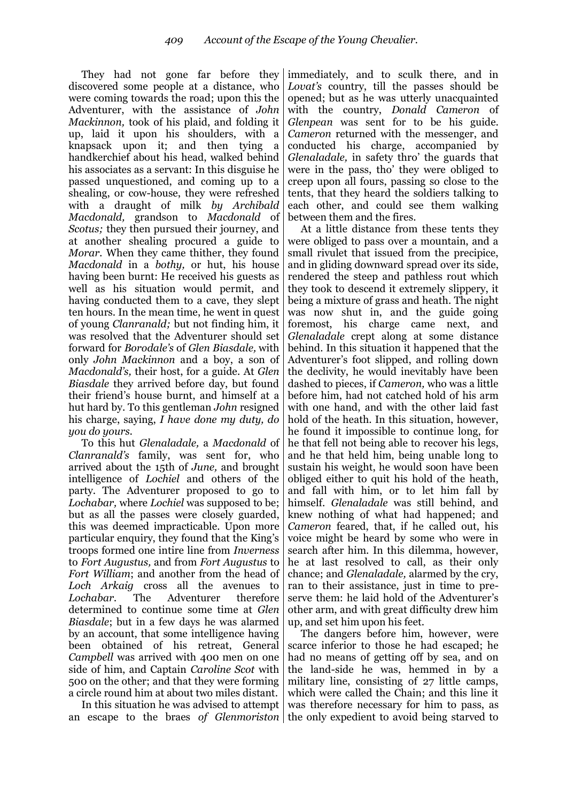They had not gone far before they discovered some people at a distance, who were coming towards the road; upon this the Adventurer, with the assistance of *John Mackinnon,* took of his plaid, and folding it up, laid it upon his shoulders, with a knapsack upon it; and then tying a handkerchief about his head, walked behind his associates as a servant: In this disguise he passed unquestioned, and coming up to a shealing, or cow-house, they were refreshed with a draught of milk *by Archibald Macdonald,* grandson to *Macdonald* of *Scotus;* they then pursued their journey, and at another shealing procured a guide to *Morar.* When they came thither, they found *Macdonald* in a *bothy,* or hut, his house having been burnt: He received his guests as well as his situation would permit, and having conducted them to a cave, they slept ten hours. In the mean time, he went in quest of young *Clanranald;* but not finding him, it was resolved that the Adventurer should set forward for *Borodale's* of *Glen Biasdale,* with only *John Mackinnon* and a boy, a son of *Macdonald's,* their host, for a guide. At *Glen Biasdale* they arrived before day, but found their friend"s house burnt, and himself at a hut hard by. To this gentleman *John* resigned his charge, saying, *I have done my duty, do you do yours.*

To this hut *Glenaladale,* a *Macdonald* of *Clanranald's* family, was sent for, who arrived about the 15th of *June,* and brought intelligence of *Lochiel* and others of the party. The Adventurer proposed to go to *Lochabar,* where *Lochiel* was supposed to be; but as all the passes were closely guarded, this was deemed impracticable. Upon more particular enquiry, they found that the King"s troops formed one intire line from *Inverness*  to *Fort Augustus,* and from *Fort Augustus* to *Fort William*; and another from the head of *Loch Arkaig* cross all the avenues to *Lochabar.* The Adventurer therefore determined to continue some time at *Glen Biasdale*; but in a few days he was alarmed by an account, that some intelligence having been obtained of his retreat, General *Campbell* was arrived with 400 men on one side of him, and Captain *Caroline Scot* with 500 on the other; and that they were forming a circle round him at about two miles distant.

In this situation he was advised to attempt an escape to the braes of Glenmoriston the only expedient to avoid being starved to

immediately, and to sculk there, and in *Lovat's* country, till the passes should be opened; but as he was utterly unacquainted with the country, *Donald Cameron* of *Glenpean* was sent for to be his guide*. Cameron* returned with the messenger, and conducted his charge, accompanied by *Glenaladale,* in safety thro" the guards that were in the pass, tho" they were obliged to creep upon all fours, passing so close to the tents, that they heard the soldiers talking to each other, and could see them walking between them and the fires.

At a little distance from these tents they were obliged to pass over a mountain, and a small rivulet that issued from the precipice, and in gliding downward spread over its side, rendered the steep and pathless rout which they took to descend it extremely slippery, it being a mixture of grass and heath. The night was now shut in, and the guide going foremost, his charge came next, and *Glenaladale* crept along at some distance behind. In this situation it happened that the Adventurer"s foot slipped, and rolling down the declivity, he would inevitably have been dashed to pieces, if *Cameron,* who was a little before him, had not catched hold of his arm with one hand, and with the other laid fast hold of the heath. In this situation, however, he found it impossible to continue long, for he that fell not being able to recover his legs, and he that held him, being unable long to sustain his weight, he would soon have been obliged either to quit his hold of the heath, and fall with him, or to let him fall by himself. *Glenaladale* was still behind, and knew nothing of what had happened; and *Cameron* feared, that, if he called out, his voice might be heard by some who were in search after him. In this dilemma, however, he at last resolved to call, as their only chance; and *Glenaladale,* alarmed by the cry, ran to their assistance, just in time to preserve them: he laid hold of the Adventurer's other arm, and with great difficulty drew him up, and set him upon his feet.

The dangers before him, however, were scarce inferior to those he had escaped; he had no means of getting off by sea, and on the land-side he was, hemmed in by a military line, consisting of 27 little camps, which were called the Chain; and this line it was therefore necessary for him to pass, as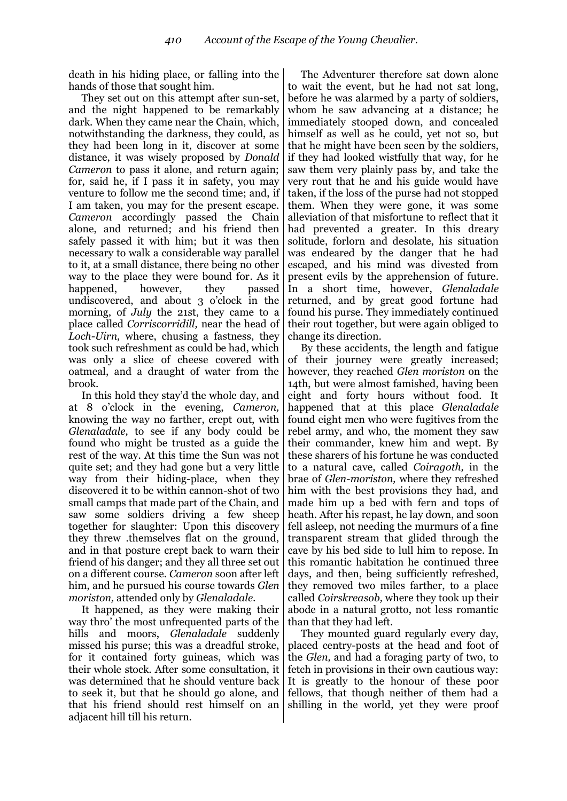death in his hiding place, or falling into the hands of those that sought him.

They set out on this attempt after sun-set, and the night happened to be remarkably dark. When they came near the Chain, which, notwithstanding the darkness, they could, as they had been long in it, discover at some distance, it was wisely proposed by *Donald Cameron* to pass it alone, and return again; for, said he, if I pass it in safety, you may venture to follow me the second time; and, if I am taken, you may for the present escape. *Cameron* accordingly passed the Chain alone, and returned; and his friend then safely passed it with him; but it was then necessary to walk a considerable way parallel to it, at a small distance, there being no other way to the place they were bound for. As it happened, however, they passed undiscovered, and about 3 o"clock in the morning, of *July* the 21st, they came to a place called *Corriscorridill,* near the head of *Loch-Uirn,* where, chusing a fastness, they took such refreshment as could be had, which was only a slice of cheese covered with oatmeal, and a draught of water from the brook.

In this hold they stay"d the whole day, and at 8 o"clock in the evening, *Cameron,*  knowing the way no farther, crept out, with *Glenaladale,* to see if any body could be found who might be trusted as a guide the rest of the way. At this time the Sun was not quite set; and they had gone but a very little way from their hiding-place, when they discovered it to be within cannon-shot of two small camps that made part of the Chain, and saw some soldiers driving a few sheep together for slaughter: Upon this discovery they threw .themselves flat on the ground, and in that posture crept back to warn their friend of his danger; and they all three set out on a different course. *Cameron* soon after left him, and he pursued his course towards *Glen moriston,* attended only by *Glenaladale.*

It happened, as they were making their way thro" the most unfrequented parts of the hills and moors, *Glenaladale* suddenly missed his purse; this was a dreadful stroke, for it contained forty guineas, which was their whole stock. After some consultation, it was determined that he should venture back to seek it, but that he should go alone, and that his friend should rest himself on an adjacent hill till his return.

The Adventurer therefore sat down alone to wait the event, but he had not sat long, before he was alarmed by a party of soldiers, whom he saw advancing at a distance; he immediately stooped down, and concealed himself as well as he could, yet not so, but that he might have been seen by the soldiers, if they had looked wistfully that way, for he saw them very plainly pass by, and take the very rout that he and his guide would have taken, if the loss of the purse had not stopped them. When they were gone, it was some alleviation of that misfortune to reflect that it had prevented a greater. In this dreary solitude, forlorn and desolate, his situation was endeared by the danger that he had escaped, and his mind was divested from present evils by the apprehension of future. In a short time, however, *Glenaladale* returned, and by great good fortune had found his purse. They immediately continued their rout together, but were again obliged to change its direction.

By these accidents, the length and fatigue of their journey were greatly increased; however, they reached *Glen moriston* on the 14th, but were almost famished, having been eight and forty hours without food. It happened that at this place *Glenaladale* found eight men who were fugitives from the rebel army, and who, the moment they saw their commander, knew him and wept. By these sharers of his fortune he was conducted to a natural cave, called *Coiragoth,* in the brae of *Glen-moriston,* where they refreshed him with the best provisions they had, and made him up a bed with fern and tops of heath. After his repast, he lay down, and soon fell asleep, not needing the murmurs of a fine transparent stream that glided through the cave by his bed side to lull him to repose. In this romantic habitation he continued three days, and then, being sufficiently refreshed, they removed two miles farther, to a place called *Coirskreasob,* where they took up their abode in a natural grotto, not less romantic than that they had left.

They mounted guard regularly every day, placed centry-posts at the head and foot of the *Glen,* and had a foraging party of two, to fetch in provisions in their own cautious way: It is greatly to the honour of these poor fellows, that though neither of them had a shilling in the world, yet they were proof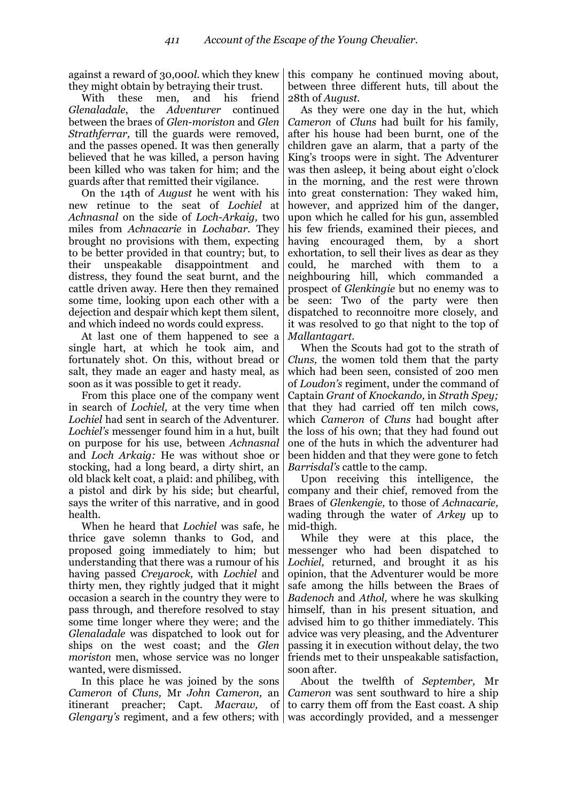against a reward of 30,000*l*. which they knew they might obtain by betraying their trust.

With these men*,* and his friend *Glenaladale*, the *Adventurer* continued between the braes of *Glen-moriston* and *Glen Strathferrar,* till the guards were removed, and the passes opened. It was then generally believed that he was killed, a person having been killed who was taken for him; and the guards after that remitted their vigilance.

On the 14th of *August* he went with his new retinue to the seat of *Lochiel* at *Achnasnal* on the side of *Loch-Arkaig,* two miles from *Achnacarie* in *Lochabar.* They brought no provisions with them, expecting to be better provided in that country; but, to their unspeakable disappointment and distress, they found the seat burnt, and the cattle driven away. Here then they remained some time, looking upon each other with a dejection and despair which kept them silent, and which indeed no words could express.

At last one of them happened to see a single hart, at which he took aim, and fortunately shot. On this, without bread or salt, they made an eager and hasty meal, as soon as it was possible to get it ready.

From this place one of the company went in search of *Lochiel,* at the very time when *Lochiel* had sent in search of the Adventurer. *Lochiel's* messenger found him in a hut, built on purpose for his use, between *Achnasnal*  and *Loch Arkaig:* He was without shoe or stocking, had a long beard, a dirty shirt, an old black kelt coat, a plaid: and philibeg, with a pistol and dirk by his side; but chearful, says the writer of this narrative, and in good health.

When he heard that *Lochiel* was safe, he thrice gave solemn thanks to God, and proposed going immediately to him; but understanding that there was a rumour of his having passed *Creyarock,* with *Lochiel* and thirty men, they rightly judged that it might occasion a search in the country they were to pass through, and therefore resolved to stay some time longer where they were; and the *Glenaladale* was dispatched to look out for ships on the west coast; and the *Glen moriston* men, whose service was no longer wanted, were dismissed.

In this place he was joined by the sons *Cameron* of *Cluns,* Mr *John Cameron,* an itinerant preacher; Capt. *Macraw,* of

this company he continued moving about, between three different huts, till about the 28th of *August.*

As they were one day in the hut, which *Cameron* of *Cluns* had built for his family, after his house had been burnt, one of the children gave an alarm, that a party of the King"s troops were in sight. The Adventurer was then asleep, it being about eight o'clock in the morning, and the rest were thrown into great consternation: They waked him, however, and apprized him of the danger, upon which he called for his gun, assembled his few friends, examined their pieces*,* and having encouraged them, by a short exhortation, to sell their lives as dear as they could, he marched with them to a neighbouring hill, which commanded a prospect of *Glenkingie* but no enemy was to be seen: Two of the party were then dispatched to reconnoitre more closely, and it was resolved to go that night to the top of *Mallantagart.*

When the Scouts had got to the strath of *Cluns,* the women told them that the party which had been seen, consisted of 200 men of *Loudon's* regiment, under the command of Captain *Grant* of *Knockando,* in *Strath Spey;* that they had carried off ten milch cows, which *Cameron* of *Cluns* had bought after the loss of his own; that they had found out one of the huts in which the adventurer had been hidden and that they were gone to fetch *Barrisdal's* cattle to the camp.

Upon receiving this intelligence, the company and their chief, removed from the Braes of *Glenkengie,* to those of *Achnacarie,*  wading through the water of *Arkey* up to mid-thigh.

While they were at this place, the messenger who had been dispatched to *Lochiel,* returned, and brought it as his opinion, that the Adventurer would be more safe among the hills between the Braes of *Badenoch* and *Athol,* where he was skulking himself, than in his present situation, and advised him to go thither immediately. This advice was very pleasing, and the Adventurer passing it in execution without delay, the two friends met to their unspeakable satisfaction, soon after.

*Glengary's* regiment, and a few others; with was accordingly provided, and a messenger About the twelfth of *September,* Mr *Cameron* was sent southward to hire a ship to carry them off from the East coast. A ship